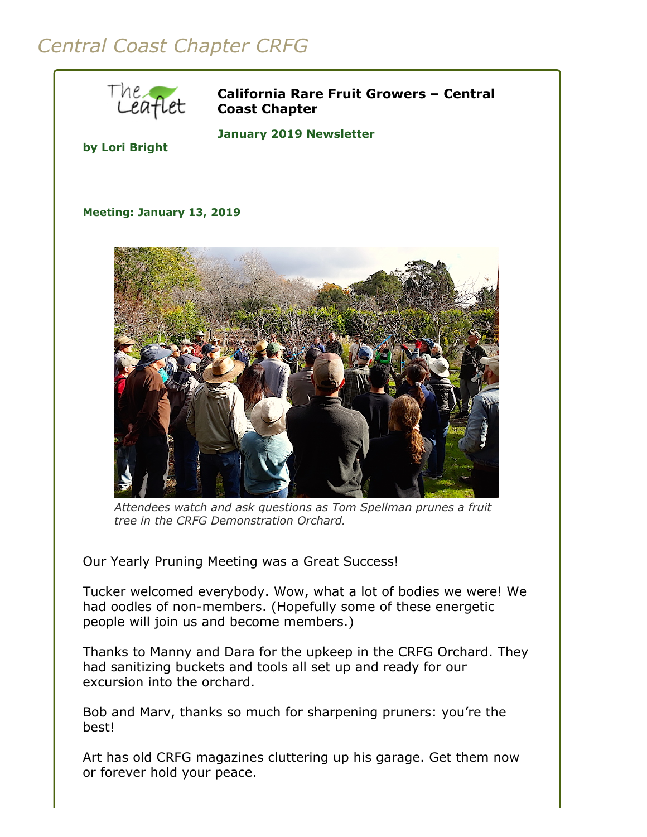## *Central Coast Chapter CRFG*



**California Rare Fruit Growers – Central Coast Chapter**

**by Lori Bright**

**January 2019 Newsletter** 

**Meeting: January 13, 2019**



*Attendees watch and ask questions as Tom Spellman prunes a fruit tree in the CRFG Demonstration Orchard.*

Our Yearly Pruning Meeting was a Great Success!

Tucker welcomed everybody. Wow, what a lot of bodies we were! We had oodles of non-members. (Hopefully some of these energetic people will join us and become members.)

Thanks to Manny and Dara for the upkeep in the CRFG Orchard. They had sanitizing buckets and tools all set up and ready for our excursion into the orchard.

Bob and Marv, thanks so much for sharpening pruners: you're the best!

Art has old CRFG magazines cluttering up his garage. Get them now or forever hold your peace.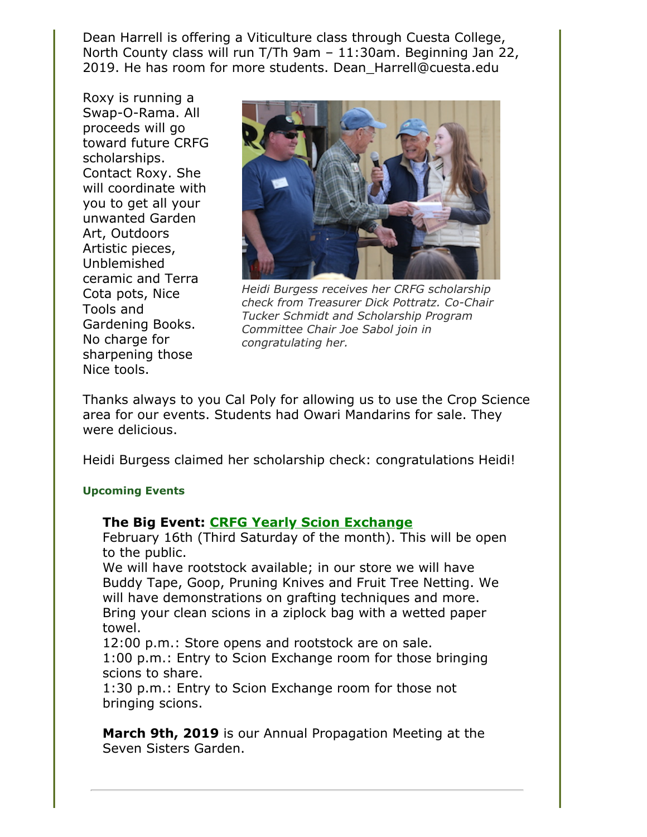Dean Harrell is offering a Viticulture class through Cuesta College, North County class will run T/Th 9am – 11:30am. Beginning Jan 22, 2019. He has room for more students. Dean\_Harrell@cuesta.edu

Roxy is running a Swap-O-Rama. All proceeds will go toward future CRFG scholarships. Contact Roxy. She will coordinate with you to get all your unwanted Garden Art, Outdoors Artistic pieces, Unblemished ceramic and Terra Cota pots, Nice Tools and Gardening Books. No charge for sharpening those Nice tools.



*Heidi Burgess receives her CRFG scholarship check from Treasurer Dick Pottratz. Co-Chair Tucker Schmidt and Scholarship Program Committee Chair Joe Sabol join in congratulating her.*

Thanks always to you Cal Poly for allowing us to use the Crop Science area for our events. Students had Owari Mandarins for sale. They were delicious.

Heidi Burgess claimed her scholarship check: congratulations Heidi!

## **Upcoming Events**

## **The Big Event: [CRFG Yearly Scion Exchange](file:///Users/daramanker/Documents/CRFG/Website/Newsletters/2019/Jan/calendar.html#scion_exchange)**

February 16th (Third Saturday of the month). This will be open to the public.

We will have rootstock available; in our store we will have Buddy Tape, Goop, Pruning Knives and Fruit Tree Netting. We will have demonstrations on grafting techniques and more. Bring your clean scions in a ziplock bag with a wetted paper towel.

12:00 p.m.: Store opens and rootstock are on sale. 1:00 p.m.: Entry to Scion Exchange room for those bringing scions to share.

1:30 p.m.: Entry to Scion Exchange room for those not bringing scions.

**March 9th, 2019** is our Annual Propagation Meeting at the Seven Sisters Garden.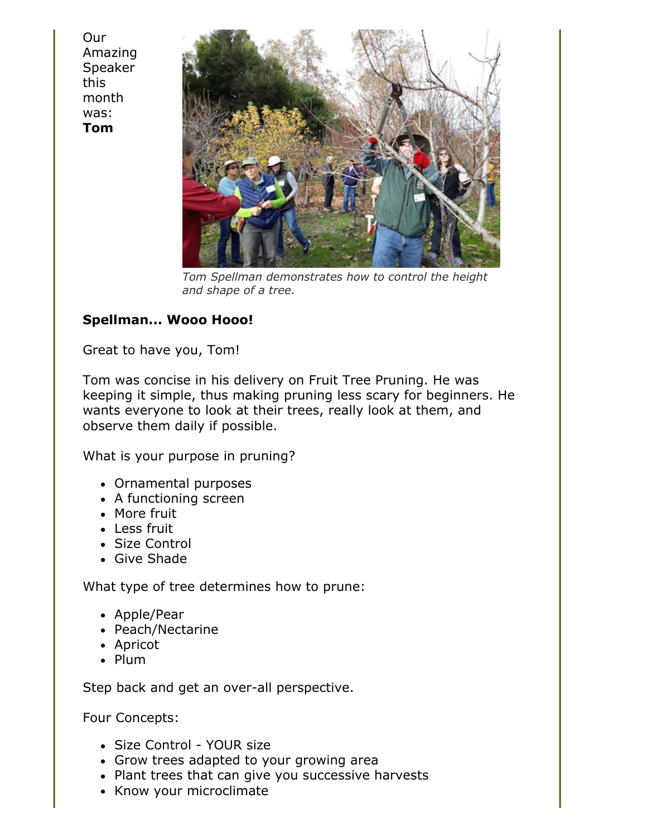**Our** Amazing Speaker this month was: **Tom**



*Tom Spellman demonstrates how to control the height and shape of a tree.*

## **Spellman... Wooo Hooo!**

Great to have you, Tom!

Tom was concise in his delivery on Fruit Tree Pruning. He was keeping it simple, thus making pruning less scary for beginners. He wants everyone to look at their trees, really look at them, and observe them daily if possible.

What is your purpose in pruning?

- Ornamental purposes
- A functioning screen
- More fruit
- Less fruit
- Size Control
- Give Shade

What type of tree determines how to prune:

- Apple/Pear
- Peach/Nectarine
- Apricot
- Plum

Step back and get an over-all perspective.

Four Concepts:

- Size Control YOUR size
- Grow trees adapted to your growing area
- Plant trees that can give you successive harvests
- Know your microclimate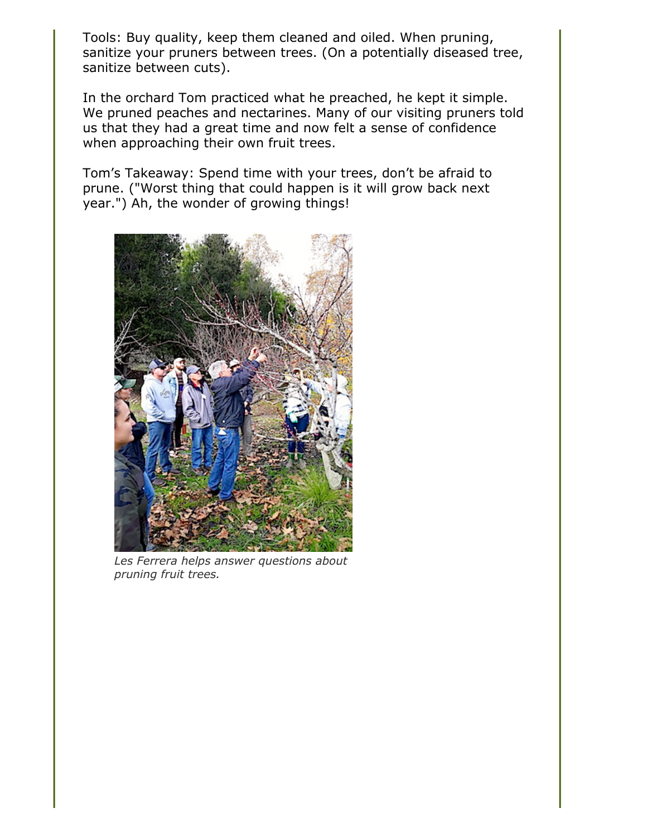Tools: Buy quality, keep them cleaned and oiled. When pruning, sanitize your pruners between trees. (On a potentially diseased tree, sanitize between cuts).

In the orchard Tom practiced what he preached, he kept it simple. We pruned peaches and nectarines. Many of our visiting pruners told us that they had a great time and now felt a sense of confidence when approaching their own fruit trees.

Tom's Takeaway: Spend time with your trees, don't be afraid to prune. ("Worst thing that could happen is it will grow back next year.") Ah, the wonder of growing things!



*Les Ferrera helps answer questions about pruning fruit trees.*